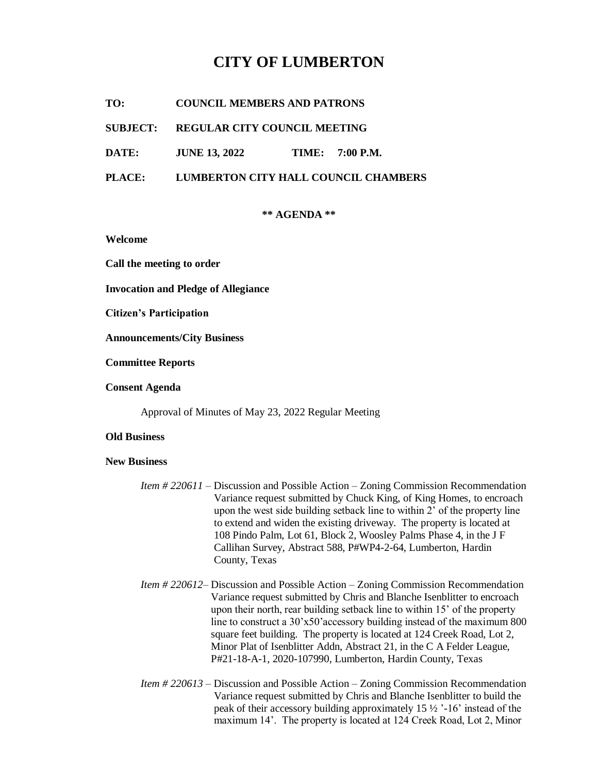# **CITY OF LUMBERTON**

**TO: COUNCIL MEMBERS AND PATRONS**

### **SUBJECT: REGULAR CITY COUNCIL MEETING**

**DATE: JUNE 13, 2022 TIME: 7:00 P.M.**

**PLACE: LUMBERTON CITY HALL COUNCIL CHAMBERS**

#### **\*\* AGENDA \*\***

**Welcome**

**Call the meeting to order**

**Invocation and Pledge of Allegiance**

**Citizen's Participation**

**Announcements/City Business**

**Committee Reports**

**Consent Agenda**

Approval of Minutes of May 23, 2022 Regular Meeting

#### **Old Business**

#### **New Business**

- *Item # 220611* Discussion and Possible Action Zoning Commission Recommendation Variance request submitted by Chuck King, of King Homes, to encroach upon the west side building setback line to within 2' of the property line to extend and widen the existing driveway. The property is located at 108 Pindo Palm, Lot 61, Block 2, Woosley Palms Phase 4, in the J F Callihan Survey, Abstract 588, P#WP4-2-64, Lumberton, Hardin County, Texas
- *Item # 220612* Discussion and Possible Action Zoning Commission Recommendation Variance request submitted by Chris and Blanche Isenblitter to encroach upon their north, rear building setback line to within 15' of the property line to construct a 30'x50'accessory building instead of the maximum 800 square feet building. The property is located at 124 Creek Road, Lot 2, Minor Plat of Isenblitter Addn, Abstract 21, in the C A Felder League, P#21-18-A-1, 2020-107990, Lumberton, Hardin County, Texas
- *Item # 220613* Discussion and Possible Action Zoning Commission Recommendation Variance request submitted by Chris and Blanche Isenblitter to build the peak of their accessory building approximately 15 ½ '-16' instead of the maximum 14'. The property is located at 124 Creek Road, Lot 2, Minor